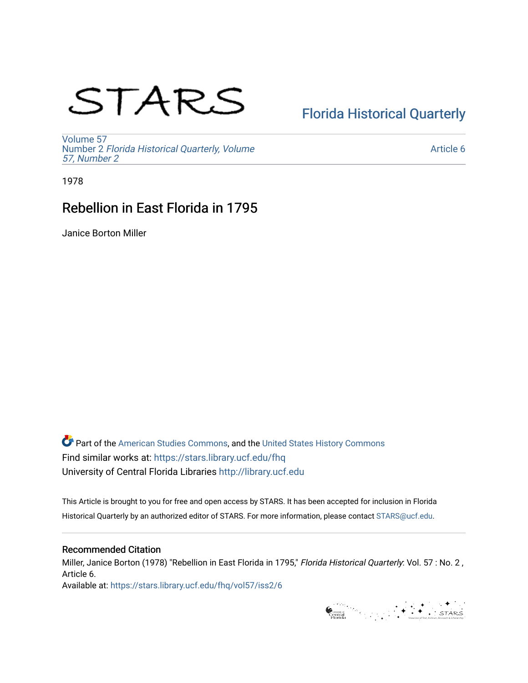# STARS

# [Florida Historical Quarterly](https://stars.library.ucf.edu/fhq)

[Volume 57](https://stars.library.ucf.edu/fhq/vol57) Number 2 [Florida Historical Quarterly, Volume](https://stars.library.ucf.edu/fhq/vol57/iss2)  [57, Number 2](https://stars.library.ucf.edu/fhq/vol57/iss2)

[Article 6](https://stars.library.ucf.edu/fhq/vol57/iss2/6) 

1978

# Rebellion in East Florida in 1795

Janice Borton Miller

**C** Part of the [American Studies Commons](http://network.bepress.com/hgg/discipline/439?utm_source=stars.library.ucf.edu%2Ffhq%2Fvol57%2Fiss2%2F6&utm_medium=PDF&utm_campaign=PDFCoverPages), and the United States History Commons Find similar works at: <https://stars.library.ucf.edu/fhq> University of Central Florida Libraries [http://library.ucf.edu](http://library.ucf.edu/) 

This Article is brought to you for free and open access by STARS. It has been accepted for inclusion in Florida Historical Quarterly by an authorized editor of STARS. For more information, please contact [STARS@ucf.edu.](mailto:STARS@ucf.edu)

## Recommended Citation

Miller, Janice Borton (1978) "Rebellion in East Florida in 1795," Florida Historical Quarterly: Vol. 57 : No. 2, Article 6.

Available at: [https://stars.library.ucf.edu/fhq/vol57/iss2/6](https://stars.library.ucf.edu/fhq/vol57/iss2/6?utm_source=stars.library.ucf.edu%2Ffhq%2Fvol57%2Fiss2%2F6&utm_medium=PDF&utm_campaign=PDFCoverPages) 

General Contract of the Second School of the Second School of Second School of Second School of Second School of Second School of Second School of Second School of Second School of Second School of Second School of Second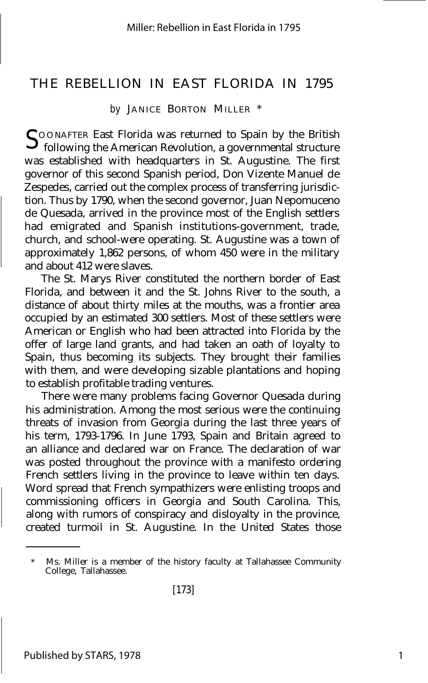## THE REBELLION IN EAST FLORIDA IN 1795

*by* JANICE BORTON MILLER \*

 $S$  00 NAFTER East Florida was returned to Spain by the British<br> $S$  following the American Revolution, a governmental structure O O NAFTER East Florida was returned to Spain by the British was established with headquarters in St. Augustine. The first governor of this second Spanish period, Don Vizente Manuel de Zespedes, carried out the complex process of transferring jurisdiction. Thus by 1790, when the second governor, Juan Nepomuceno de Quesada, arrived in the province most of the English settlers had emigrated and Spanish institutions-government, trade, church, and school-were operating. St. Augustine was a town of approximately 1,862 persons, of whom 450 were in the military and about 412 were slaves.

The St. Marys River constituted the northern border of East Florida, and between it and the St. Johns River to the south, a distance of about thirty miles at the mouths, was a frontier area occupied by an estimated 300 settlers. Most of these settlers were American or English who had been attracted into Florida by the offer of large land grants, and had taken an oath of loyalty to Spain, thus becoming its subjects. They brought their families with them, and were developing sizable plantations and hoping to establish profitable trading ventures.

There were many problems facing Governor Quesada during his administration. Among the most serious were the continuing threats of invasion from Georgia during the last three years of his term, 1793-1796. In June 1793, Spain and Britain agreed to an alliance and declared war on France. The declaration of war was posted throughout the province with a manifesto ordering French settlers living in the province to leave within ten days. Word spread that French sympathizers were enlisting troops and commissioning officers in Georgia and South Carolina. This, along with rumors of conspiracy and disloyalty in the province, created turmoil in St. Augustine. In the United States those

Ms. Miller is a member of the history faculty at Tallahassee Community College, Tallahassee.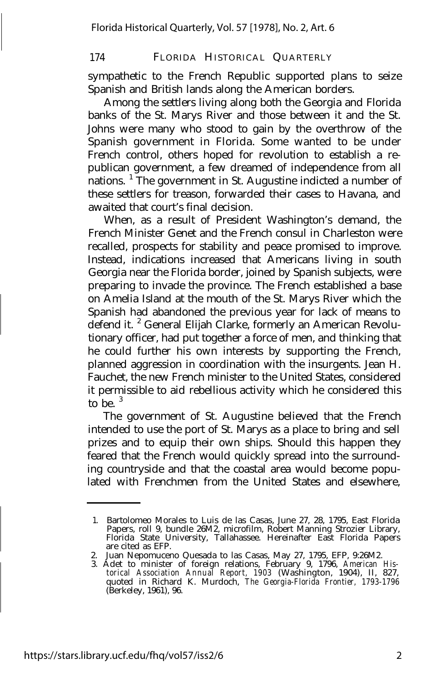sympathetic to the French Republic supported plans to seize Spanish and British lands along the American borders.

Among the settlers living along both the Georgia and Florida banks of the St. Marys River and those between it and the St. Johns were many who stood to gain by the overthrow of the Spanish government in Florida. Some wanted to be under French control, others hoped for revolution to establish a republican government, a few dreamed of independence from all nations. <sup>1</sup> The government in St. Augustine indicted a number of these settlers for treason, forwarded their cases to Havana, and awaited that court's final decision.

When, as a result of President Washington's demand, the French Minister Genet and the French consul in Charleston were recalled, prospects for stability and peace promised to improve. Instead, indications increased that Americans living in south Georgia near the Florida border, joined by Spanish subjects, were preparing to invade the province. The French established a base on Amelia Island at the mouth of the St. Marys River which the Spanish had abandoned the previous year for lack of means to defend it.<sup>2</sup> General Elijah Clarke, formerly an American Revolutionary officer, had put together a force of men, and thinking that he could further his own interests by supporting the French, planned aggression in coordination with the insurgents. Jean H. Fauchet, the new French minister to the United States, considered it permissible to aid rebellious activity which he considered this to be.  $3$ 

The government of St. Augustine believed that the French intended to use the port of St. Marys as a place to bring and sell prizes and to equip their own ships. Should this happen they feared that the French would quickly spread into the surrounding countryside and that the coastal area would become populated with Frenchmen from the United States and elsewhere,

<sup>1.</sup> Bartolomeo Morales to Luis de las Casas, June 27, 28, 1795, East Florida Papers, roll 9, bundle 26M2, microfilm, Robert Manning Strozier Library, Florida State University, Tallahassee. Hereinafter East Florida Papers are cited as EFP.

<sup>2.</sup> Juan Nepomuceno Quesada to las Casas, May 27, 1795, EFP, 9:26M2.

<sup>3.</sup> Adet to minister of foreign relations, February 9, 1796, *American His-torical Association Annual Report, 1903* (Washington, 1904), II, 827, quoted in Richard K. Murdoch, *The Georgia-Florida Frontier, 1793-1796* (Berkeley, 1961), 96.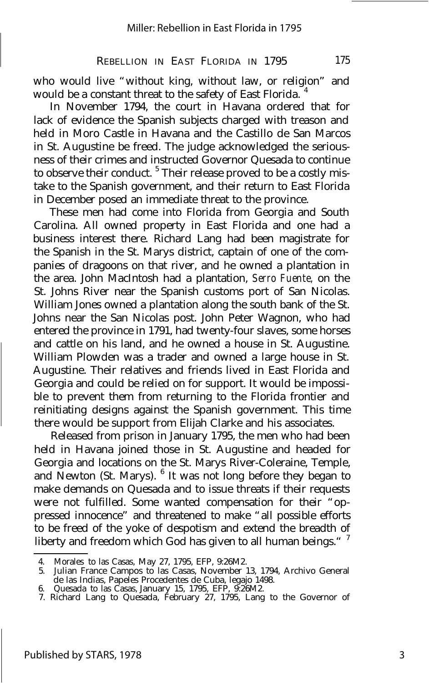who would live "without king, without law, or religion" and would be a constant threat to the safety of East Florida.<sup>4</sup>

In November 1794, the court in Havana ordered that for lack of evidence the Spanish subjects charged with treason and held in Moro Castle in Havana and the Castillo de San Marcos in St. Augustine be freed. The judge acknowledged the seriousness of their crimes and instructed Governor Quesada to continue to observe their conduct. <sup>5</sup> Their release proved to be a costly mistake to the Spanish government, and their return to East Florida in December posed an immediate threat to the province.

These men had come into Florida from Georgia and South Carolina. All owned property in East Florida and one had a business interest there. Richard Lang had been magistrate for the Spanish in the St. Marys district, captain of one of the companies of dragoons on that river, and he owned a plantation in the area. John MacIntosh had a plantation, *Serro Fuente,* on the St. Johns River near the Spanish customs port of San Nicolas. William Jones owned a plantation along the south bank of the St. Johns near the San Nicolas post. John Peter Wagnon, who had entered the province in 1791, had twenty-four slaves, some horses and cattle on his land, and he owned a house in St. Augustine. William Plowden was a trader and owned a large house in St. Augustine. Their relatives and friends lived in East Florida and Georgia and could be relied on for support. It would be impossible to prevent them from returning to the Florida frontier and reinitiating designs against the Spanish government. This time there would be support from Elijah Clarke and his associates.

Released from prison in January 1795, the men who had been held in Havana joined those in St. Augustine and headed for Georgia and locations on the St. Marys River-Coleraine, Temple, and Newton (St. Marys).  $6$  It was not long before they began to make demands on Quesada and to issue threats if their requests were not fulfilled. Some wanted compensation for their "oppressed innocence" and threatened to make "all possible efforts to be freed of the yoke of despotism and extend the breadth of liberty and freedom which God has given to all human beings."<sup>7</sup>

<sup>4.</sup> Morales to las Casas, May 27, 1795, EFP, 9:26M2.

<sup>5.</sup> Julian France Campos to las Casas, November 13, 1794, Archivo General 6. de las Indias, Papeles Procedentes de Cuba, legajo 1498.

Quesada to las Casas, January 15, 1795, EFP, 9:26M2. 7. Richard Lang to Quesada, February 27, 1795, Lang to the Governor of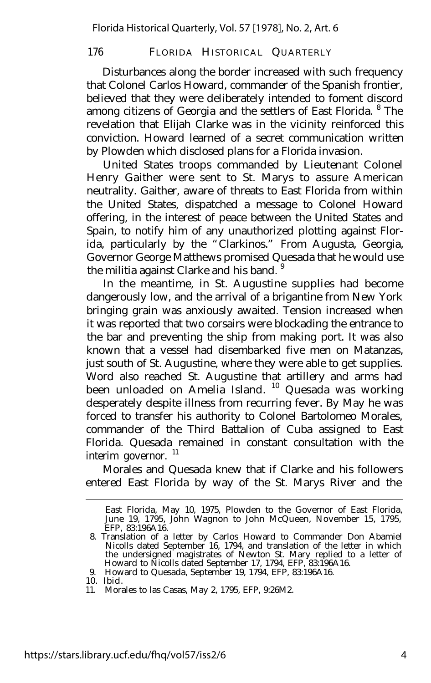Disturbances along the border increased with such frequency that Colonel Carlos Howard, commander of the Spanish frontier, believed that they were deliberately intended to foment discord among citizens of Georgia and the settlers of East Florida. <sup>8</sup> The revelation that Elijah Clarke was in the vicinity reinforced this conviction. Howard learned of a secret communication written by Plowden which disclosed plans for a Florida invasion.

United States troops commanded by Lieutenant Colonel Henry Gaither were sent to St. Marys to assure American neutrality. Gaither, aware of threats to East Florida from within the United States, dispatched a message to Colonel Howard offering, in the interest of peace between the United States and Spain, to notify him of any unauthorized plotting against Florida, particularly by the "Clarkinos." From Augusta, Georgia, Governor George Matthews promised Quesada that he would use the militia against Clarke and his band.<sup>9</sup>

In the meantime, in St. Augustine supplies had become dangerously low, and the arrival of a brigantine from New York bringing grain was anxiously awaited. Tension increased when it was reported that two corsairs were blockading the entrance to the bar and preventing the ship from making port. It was also known that a vessel had disembarked five men on Matanzas, just south of St. Augustine, where they were able to get supplies. Word also reached St. Augustine that artillery and arms had been unloaded on Amelia Island. <sup>10</sup> Quesada was working desperately despite illness from recurring fever. By May he was forced to transfer his authority to Colonel Bartolomeo Morales, commander of the Third Battalion of Cuba assigned to East Florida. Quesada remained in constant consultation with the interim governor. <sup>11</sup>

Morales and Quesada knew that if Clarke and his followers entered East Florida by way of the St. Marys River and the

East Florida, May 10, 1975, Plowden to the Governor of East Florida, June 19, 1795, John Wagnon to John McQueen, November 15, 1795, EFP, 83:196A16.

<sup>8.</sup> Translation of a letter by Carlos Howard to Commander Don Abamiel Nicolls dated September 16, 1794, and translation of the letter in which the undersigned magistrates of Newton St. Mary replied to a letter of Howard to Nicolls dated September 17, 1794, EFP, 83:196A16.

<sup>9.</sup> Howard to Quesada, September 19, 1794, EFP, 83:196A16.

<sup>10.</sup> Ibid.

<sup>11.</sup> Morales to las Casas, May 2, 1795, EFP, 9:26M2.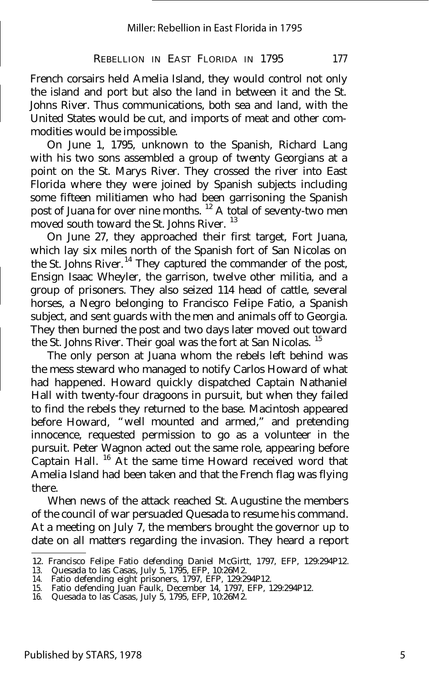French corsairs held Amelia Island, they would control not only the island and port but also the land in between it and the St. Johns River. Thus communications, both sea and land, with the United States would be cut, and imports of meat and other commodities would be impossible.

On June 1, 1795, unknown to the Spanish, Richard Lang with his two sons assembled a group of twenty Georgians at a point on the St. Marys River. They crossed the river into East Florida where they were joined by Spanish subjects including some fifteen militiamen who had been garrisoning the Spanish post of Juana for over nine months. <sup>12</sup> A total of seventy-two men moved south toward the St. Johns River.<sup>13</sup>

On June 27, they approached their first target, Fort Juana, which lay six miles north of the Spanish fort of San Nicolas on the St. Johns River. <sup>14</sup> They captured the commander of the post, Ensign Isaac Wheyler, the garrison, twelve other militia, and a group of prisoners. They also seized 114 head of cattle, several horses, a Negro belonging to Francisco Felipe Fatio, a Spanish subject, and sent guards with the men and animals off to Georgia. They then burned the post and two days later moved out toward the St. Johns River. Their goal was the fort at San Nicolas.<sup>15</sup>

The only person at Juana whom the rebels left behind was the mess steward who managed to notify Carlos Howard of what had happened. Howard quickly dispatched Captain Nathaniel Hall with twenty-four dragoons in pursuit, but when they failed to find the rebels they returned to the base. Macintosh appeared before Howard, "well mounted and armed," and pretending innocence, requested permission to go as a volunteer in the pursuit. Peter Wagnon acted out the same role, appearing before Captain Hall. <sup>16</sup> At the same time Howard received word that Amelia Island had been taken and that the French flag was flying there.

When news of the attack reached St. Augustine the members of the council of war persuaded Quesada to resume his command. At a meeting on July 7, the members brought the governor up to date on all matters regarding the invasion. They heard a report

<sup>12.</sup> Francisco Felipe Fatio defending Daniel McGirtt, 1797, EFP, 129:294P12.

<sup>13.</sup> Quesada to las Casas, July 5, 1795, EFP, 10:26M2. 14. Fatio defending eight prisoners, 1797, EFP, 129:294P12.

<sup>15.</sup> Fatio defending Juan Faulk, December 14, 1797, EFP, 129:294P12.

<sup>16.</sup> Quesada to las Casas, July 5, 1795, EFP, 10:26M2.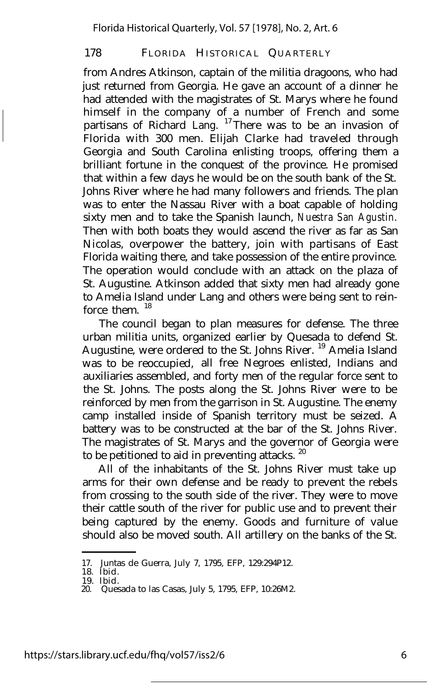from Andres Atkinson, captain of the militia dragoons, who had just returned from Georgia. He gave an account of a dinner he had attended with the magistrates of St. Marys where he found himself in the company of a number of French and some partisans of Richard Lang. <sup>17</sup> There was to be an invasion of Florida with 300 men. Elijah Clarke had traveled through Georgia and South Carolina enlisting troops, offering them a brilliant fortune in the conquest of the province. He promised that within a few days he would be on the south bank of the St. Johns River where he had many followers and friends. The plan was to enter the Nassau River with a boat capable of holding sixty men and to take the Spanish launch, *Nuestra San Agustin.* Then with both boats they would ascend the river as far as San Nicolas, overpower the battery, join with partisans of East Florida waiting there, and take possession of the entire province. The operation would conclude with an attack on the plaza of St. Augustine. Atkinson added that sixty men had already gone to Amelia Island under Lang and others were being sent to reinforce them  $18$ 

The council began to plan measures for defense. The three urban militia units, organized earlier by Quesada to defend St. Augustine, were ordered to the St. Johns River. <sup>19</sup> Amelia Island was to be reoccupied, all free Negroes enlisted, Indians and auxiliaries assembled, and forty men of the regular force sent to the St. Johns. The posts along the St. Johns River were to be reinforced by men from the garrison in St. Augustine. The enemy camp installed inside of Spanish territory must be seized. A battery was to be constructed at the bar of the St. Johns River. The magistrates of St. Marys and the governor of Georgia were to be petitioned to aid in preventing attacks.<sup>20</sup>

All of the inhabitants of the St. Johns River must take up arms for their own defense and be ready to prevent the rebels from crossing to the south side of the river. They were to move their cattle south of the river for public use and to prevent their being captured by the enemy. Goods and furniture of value should also be moved south. All artillery on the banks of the St.

<sup>17.</sup> Juntas de Guerra, July 7, 1795, EFP, 129:294P12.

<sup>18.</sup> Ibid. 19. Ibid.

<sup>20.</sup> Quesada to las Casas, July 5, 1795, EFP, 10:26M2.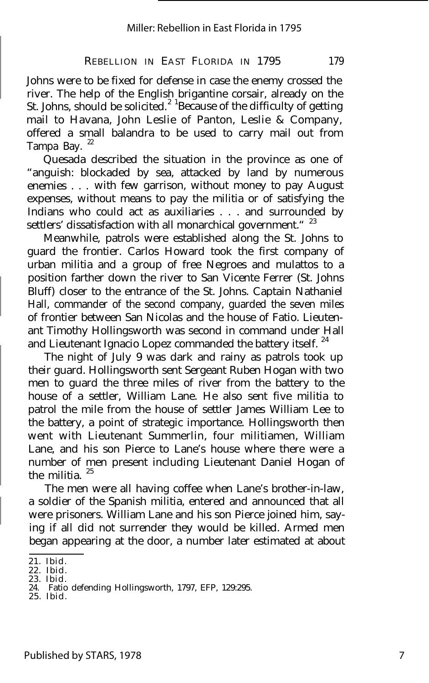Johns were to be fixed for defense in case the enemy crossed the river. The help of the English brigantine corsair, already on the St. Johns, should be solicited.<sup>2</sup> <sup>1</sup>Because of the difficulty of getting mail to Havana, John Leslie of Panton, Leslie & Company, offered a small balandra to be used to carry mail out from Tampa Bay.<sup>22</sup>

Quesada described the situation in the province as one of "anguish: blockaded by sea, attacked by land by numerous enemies . . . with few garrison, without money to pay August expenses, without means to pay the militia or of satisfying the Indians who could act as auxiliaries . . . and surrounded by settlers' dissatisfaction with all monarchical government."<sup>23</sup>

Meanwhile, patrols were established along the St. Johns to guard the frontier. Carlos Howard took the first company of urban militia and a group of free Negroes and mulattos to a position farther down the river to San Vicente Ferrer (St. Johns Bluff) closer to the entrance of the St. Johns. Captain Nathaniel Hall, commander of the second company, guarded the seven miles of frontier between San Nicolas and the house of Fatio. Lieutenant Timothy Hollingsworth was second in command under Hall and Lieutenant Ignacio Lopez commanded the battery itself.<sup>24</sup>

The night of July 9 was dark and rainy as patrols took up their guard. Hollingsworth sent Sergeant Ruben Hogan with two men to guard the three miles of river from the battery to the house of a settler, William Lane. He also sent five militia to patrol the mile from the house of settler James William Lee to the battery, a point of strategic importance. Hollingsworth then went with Lieutenant Summerlin, four militiamen, William Lane, and his son Pierce to Lane's house where there were a number of men present including Lieutenant Daniel Hogan of the militia.<sup>25</sup>

The men were all having coffee when Lane's brother-in-law, a soldier of the Spanish militia, entered and announced that all were prisoners. William Lane and his son Pierce joined him, saying if all did not surrender they would be killed. Armed men began appearing at the door, a number later estimated at about

<sup>21.</sup> Ibid.

<sup>22.</sup> Ibid.

<sup>23.</sup> Ibid. 24. Fatio defending Hollingsworth, 1797, EFP, 129:295.

<sup>25.</sup> Ibid.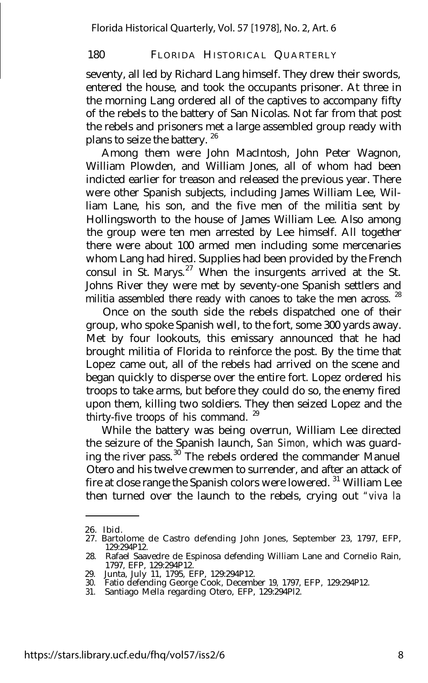seventy, all led by Richard Lang himself. They drew their swords, entered the house, and took the occupants prisoner. At three in the morning Lang ordered all of the captives to accompany fifty of the rebels to the battery of San Nicolas. Not far from that post the rebels and prisoners met a large assembled group ready with plans to seize the battery.<sup>26</sup>

Among them were John MacIntosh, John Peter Wagnon, William Plowden, and William Jones, all of whom had been indicted earlier for treason and released the previous year. There were other Spanish subjects, including James William Lee, William Lane, his son, and the five men of the militia sent by Hollingsworth to the house of James William Lee. Also among the group were ten men arrested by Lee himself. All together there were about 100 armed men including some mercenaries whom Lang had hired. Supplies had been provided by the French consul in St. Marys. $27$  When the insurgents arrived at the St. Johns River they were met by seventy-one Spanish settlers and militia assembled there ready with canoes to take the men across.  $28$ 

Once on the south side the rebels dispatched one of their group, who spoke Spanish well, to the fort, some 300 yards away. Met by four lookouts, this emissary announced that he had brought militia of Florida to reinforce the post. By the time that Lopez came out, all of the rebels had arrived on the scene and began quickly to disperse over the entire fort. Lopez ordered his troops to take arms, but before they could do so, the enemy fired upon them, killing two soldiers. They then seized Lopez and the thirty-five troops of his command.<sup>29</sup>

While the battery was being overrun, William Lee directed the seizure of the Spanish launch, *San Simon,* which was guarding the river pass.  $30$ <sup>\*</sup>The rebels ordered the commander Manuel Otero and his twelve crewmen to surrender, and after an attack of fire at close range the Spanish colors were lowered. <sup>31</sup> William Lee then turned over the launch to the rebels, crying out *"viva la*

<sup>26.</sup> Ibid.

<sup>27.</sup> Bartolome de Castro defending John Jones, September 23, 1797, EFP, 129:294P12.

<sup>28.</sup> Rafael Saavedre de Espinosa defending William Lane and Cornelio Rain, 1797, EFP, 129:294P12. 29. Junta, July 11, 1795, EFP, 129:294P12. 30. Fatio defending George Cook, December 19, 1797, EFP, 129:294P12.

<sup>31.</sup> Santiago Mella regarding Otero, EFP, 129:294Pl2.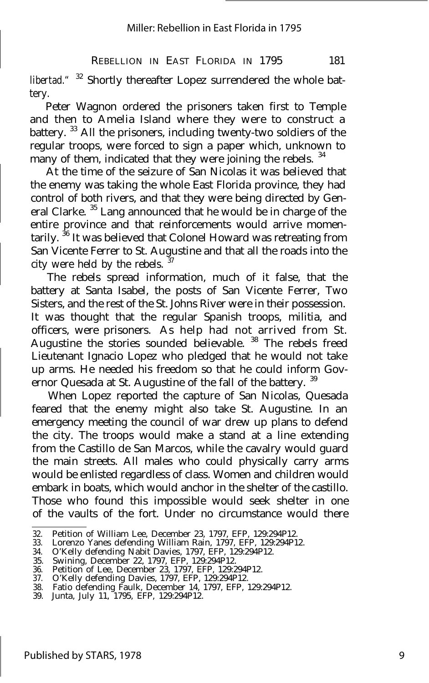#### REBELLION IN EAST FLORIDA IN 1795 181

*libertad."* <sup>32</sup> Shortly thereafter Lopez surrendered the whole battery.

Peter Wagnon ordered the prisoners taken first to Temple and then to Amelia Island where they were to construct a battery. <sup>33</sup> All the prisoners, including twenty-two soldiers of the regular troops, were forced to sign a paper which, unknown to many of them, indicated that they were joining the rebels.<sup>34</sup>

At the time of the seizure of San Nicolas it was believed that the enemy was taking the whole East Florida province, they had control of both rivers, and that they were being directed by General Clarke. <sup>35</sup> Lang announced that he would be in charge of the entire province and that reinforcements would arrive momentarily. <sup>36</sup> It was believed that Colonel Howard was retreating from San Vicente Ferrer to St. Augustine and that all the roads into the city were held by the rebels.

The rebels spread information, much of it false, that the battery at Santa Isabel, the posts of San Vicente Ferrer, Two Sisters, and the rest of the St. Johns River were in their possession. It was thought that the regular Spanish troops, militia, and officers, were prisoners. As help had not arrived from St. Augustine the stories sounded believable.<sup>38</sup> The rebels freed Lieutenant Ignacio Lopez who pledged that he would not take up arms. He needed his freedom so that he could inform Governor Quesada at St. Augustine of the fall of the battery. <sup>39</sup>

When Lopez reported the capture of San Nicolas, Quesada feared that the enemy might also take St. Augustine. In an emergency meeting the council of war drew up plans to defend the city. The troops would make a stand at a line extending from the Castillo de San Marcos, while the cavalry would guard the main streets. All males who could physically carry arms would be enlisted regardless of class. Women and children would embark in boats, which would anchor in the shelter of the castillo. Those who found this impossible would seek shelter in one of the vaults of the fort. Under no circumstance would there

<sup>32.</sup> Petition of William Lee, December 23, 1797, EFP, 129:294P12.

<sup>33.</sup> Lorenzo Yanes defending William Rain, 1797, EFP, 129:294P12.

<sup>34.</sup> O'Kelly defending Nabit Davies, 1797, EFP, 129:294P12.

<sup>35.</sup> Swining, December 22, 1797, EFP, 129:294P12.

<sup>36.</sup> Petition of Lee, December 23, 1797, EFP, 129:294P12. 37. O'Kelly defending Davies, 1797, EFP, 129:294P12.

<sup>38.</sup> Fatio defending Faulk, December 14, 1797, EFP, 129:294P12.

<sup>39.</sup> Junta, July 11, 1795, EFP, 129:294P12.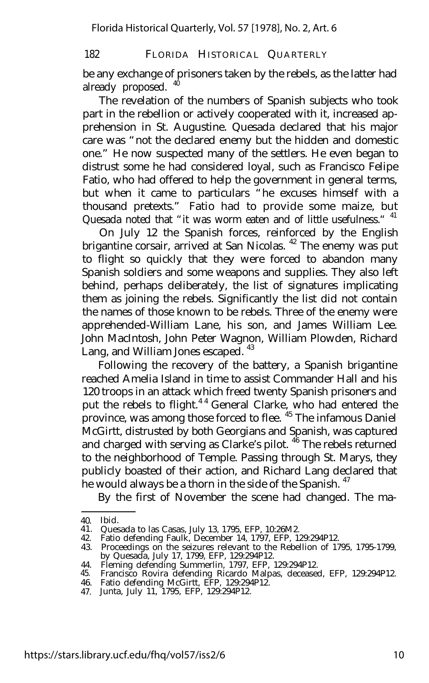be any exchange of prisoners taken by the rebels, as the latter had already proposed. 40

The revelation of the numbers of Spanish subjects who took part in the rebellion or actively cooperated with it, increased apprehension in St. Augustine. Quesada declared that his major care was "not the declared enemy but the hidden and domestic one." He now suspected many of the settlers. He even began to distrust some he had considered loyal, such as Francisco Felipe Fatio, who had offered to help the government in general terms, but when it came to particulars "he excuses himself with a thousand pretexts." Fatio had to provide some maize, but Quesada noted that "it was worm eaten and of little usefulness." <sup>41</sup>

On July 12 the Spanish forces, reinforced by the English brigantine corsair, arrived at San Nicolas.<sup>42</sup> The enemy was put to flight so quickly that they were forced to abandon many Spanish soldiers and some weapons and supplies. They also left behind, perhaps deliberately, the list of signatures implicating them as joining the rebels. Significantly the list did not contain the names of those known to be rebels. Three of the enemy were apprehended-William Lane, his son, and James William Lee. John MacIntosh, John Peter Wagnon, William Plowden, Richard Lang, and William Jones escaped. <sup>43</sup>

Following the recovery of the battery, a Spanish brigantine reached Amelia Island in time to assist Commander Hall and his 120 troops in an attack which freed twenty Spanish prisoners and put the rebels to flight.<sup>44</sup> General Clarke, who had entered the province, was among those forced to flee. <sup>45</sup> The infamous Daniel McGirtt, distrusted by both Georgians and Spanish, was captured and charged with serving as Clarke's pilot. <sup>46</sup> The rebels returned to the neighborhood of Temple. Passing through St. Marys, they publicly boasted of their action, and Richard Lang declared that he would always be a thorn in the side of the Spanish.<sup>47</sup>

By the first of November the scene had changed. The ma-

<sup>40.</sup> Ibid.

<sup>41.</sup> Quesada to las Casas, July 13, 1795, EFP, 10:26M2.

<sup>42.</sup> Fatio defending Faulk, December 14, 1797, EFP, 129:294P12.

<sup>43.</sup> Proceedings on the seizures relevant to the Rebellion of 1795, 1795-1799, by Quesada, July 17, 1799, EFP, 129:294P12.

Fleming defending Summerlin, 1797, EFP, 129:294P12.

<sup>44.</sup> 45. 46. Francisco Rovira defending Ricardo Malpas, deceased, EFP, 129:294P12. Fatio defending McGirtt, EFP, 129:294P12.

<sup>47.</sup> Junta, July 11, 1795, EFP, 129:294P12.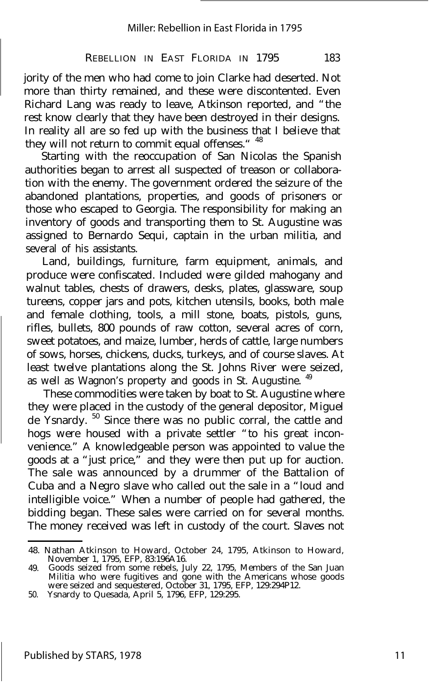#### REBELLION IN EAST FLORIDA IN 1795 183

jority of the men who had come to join Clarke had deserted. Not more than thirty remained, and these were discontented. Even Richard Lang was ready to leave, Atkinson reported, and "the rest know clearly that they have been destroyed in their designs. In reality all are so fed up with the business that I believe that they will not return to commit equal offenses." <sup>48</sup>

Starting with the reoccupation of San Nicolas the Spanish authorities began to arrest all suspected of treason or collaboration with the enemy. The government ordered the seizure of the abandoned plantations, properties, and goods of prisoners or those who escaped to Georgia. The responsibility for making an inventory of goods and transporting them to St. Augustine was assigned to Bernardo Sequi, captain in the urban militia, and several of his assistants.

Land, buildings, furniture, farm equipment, animals, and produce were confiscated. Included were gilded mahogany and walnut tables, chests of drawers, desks, plates, glassware, soup tureens, copper jars and pots, kitchen utensils, books, both male and female clothing, tools, a mill stone, boats, pistols, guns, rifles, bullets, 800 pounds of raw cotton, several acres of corn, sweet potatoes, and maize, lumber, herds of cattle, large numbers of sows, horses, chickens, ducks, turkeys, and of course slaves. At least twelve plantations along the St. Johns River were seized, as well as Wagnon's property and goods in St. Augustine.<sup>49</sup>

These commodities were taken by boat to St. Augustine where they were placed in the custody of the general depositor, Miguel de Ysnardy. <sup>50</sup> Since there was no public corral, the cattle and hogs were housed with a private settler "to his great inconvenience." A knowledgeable person was appointed to value the goods at a "just price," and they were then put up for auction. The sale was announced by a drummer of the Battalion of Cuba and a Negro slave who called out the sale in a "loud and intelligible voice." When a number of people had gathered, the bidding began. These sales were carried on for several months. The money received was left in custody of the court. Slaves not

<sup>48.</sup> Nathan Atkinson to Howard, October 24, 1795, Atkinson to Howard, November 1, 1795, EFP, 83:196A16.

<sup>49.</sup> Goods seized from some rebels, July 22, 1795, Members of the San Juan Militia who were fugitives and gone with the Americans whose goods were seized and sequestered, October 31, 1795, EFP, 129:294P12.

<sup>50.</sup> Ysnardy to Quesada, April 5, 1796, EFP, 129:295.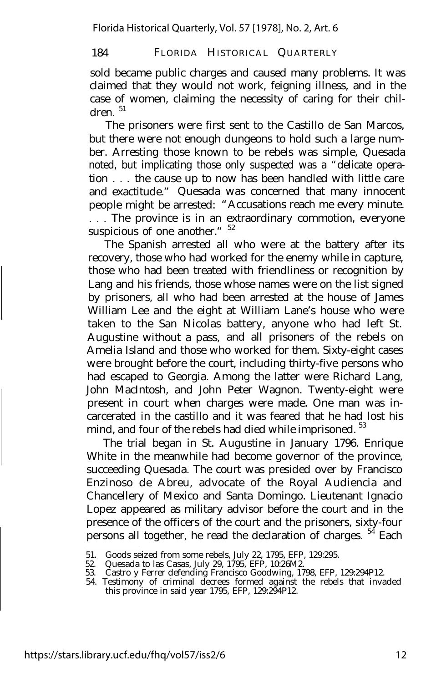sold became public charges and caused many problems. It was claimed that they would not work, feigning illness, and in the case of women, claiming the necessity of caring for their chil $d$ ren $1$ 

The prisoners were first sent to the Castillo de San Marcos, but there were not enough dungeons to hold such a large number. Arresting those known to be rebels was simple, Quesada noted, but implicating those only suspected was a "delicate operation . . . the cause up to now has been handled with little care and exactitude." Quesada was concerned that many innocent people might be arrested: "Accusations reach me every minute. . . . The province is in an extraordinary commotion, everyone suspicious of one another." <sup>52</sup>

The Spanish arrested all who were at the battery after its recovery, those who had worked for the enemy while in capture, those who had been treated with friendliness or recognition by Lang and his friends, those whose names were on the list signed by prisoners, all who had been arrested at the house of James William Lee and the eight at William Lane's house who were taken to the San Nicolas battery, anyone who had left St. Augustine without a pass, and all prisoners of the rebels on Amelia Island and those who worked for them. Sixty-eight cases were brought before the court, including thirty-five persons who had escaped to Georgia. Among the latter were Richard Lang, John MacIntosh, and John Peter Wagnon. Twenty-eight were present in court when charges were made. One man was incarcerated in the castillo and it was feared that he had lost his mind, and four of the rebels had died while imprisoned.  $53$ 

The trial began in St. Augustine in January 1796. Enrique White in the meanwhile had become governor of the province, succeeding Quesada. The court was presided over by Francisco Enzinoso de Abreu, advocate of the Royal Audiencia and Chancellery of Mexico and Santa Domingo. Lieutenant Ignacio Lopez appeared as military advisor before the court and in the presence of the officers of the court and the prisoners, sixty-four persons all together, he read the declaration of charges. <sup>54</sup> Each

<sup>51.</sup> Goods seized from some rebels, July 22, 1795, EFP, 129:295.

<sup>52.</sup> Quesada to las Casas, July 29, 1795, EFP, 10:26M2. 53. Castro y Ferrer defending Francisco Goodwing, 1798, EFP, 129:294P12.

<sup>54.</sup> Testimony of criminal decrees formed against the rebels that invaded this province in said year 1795, EFP, 129:294P12.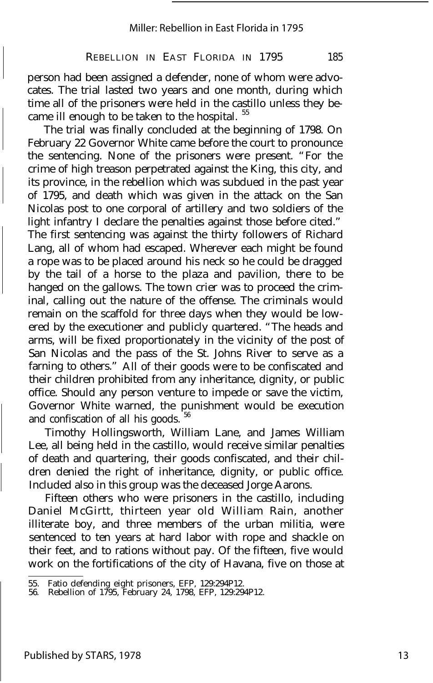#### REBELLION IN EAST FLORIDA IN 1795 185

person had been assigned a defender, none of whom were advocates. The trial lasted two years and one month, during which time all of the prisoners were held in the castillo unless they became ill enough to be taken to the hospital.<sup>55</sup>

The trial was finally concluded at the beginning of 1798. On February 22 Governor White came before the court to pronounce the sentencing. None of the prisoners were present. "For the crime of high treason perpetrated against the King, this city, and its province, in the rebellion which was subdued in the past year of 1795, and death which was given in the attack on the San Nicolas post to one corporal of artillery and two soldiers of the light infantry I declare the penalties against those before cited." The first sentencing was against the thirty followers of Richard Lang, all of whom had escaped. Wherever each might be found a rope was to be placed around his neck so he could be dragged by the tail of a horse to the plaza and pavilion, there to be hanged on the gallows. The town crier was to proceed the criminal, calling out the nature of the offense. The criminals would remain on the scaffold for three days when they would be lowered by the executioner and publicly quartered. "The heads and arms, will be fixed proportionately in the vicinity of the post of San Nicolas and the pass of the St. Johns River to serve as a farning to others." All of their goods were to be confiscated and their children prohibited from any inheritance, dignity, or public office. Should any person venture to impede or save the victim, Governor White warned, the punishment would be execution and confiscation of all his goods.

Timothy Hollingsworth, William Lane, and James William Lee, all being held in the castillo, would receive similar penalties of death and quartering, their goods confiscated, and their children denied the right of inheritance, dignity, or public office. Included also in this group was the deceased Jorge Aarons.

Fifteen others who were prisoners in the castillo, including Daniel McGirtt, thirteen year old William Rain, another illiterate boy, and three members of the urban militia, were sentenced to ten years at hard labor with rope and shackle on their feet, and to rations without pay. Of the fifteen, five would work on the fortifications of the city of Havana, five on those at

<sup>55.</sup> Fatio defending eight prisoners, EFP, 129:294P12. 56. Rebellion of 1795, February 24, 1798, EFP, 129:294P12.